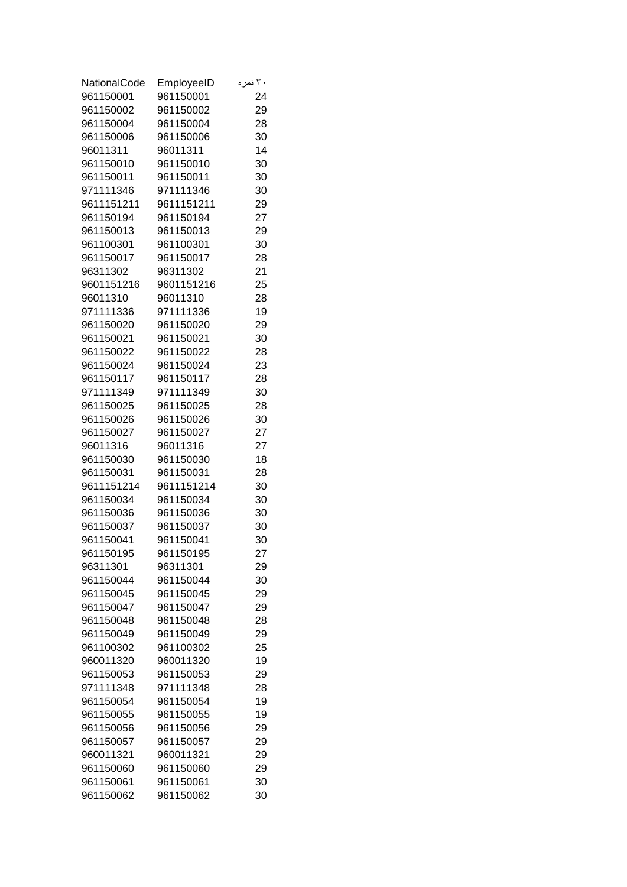| NationalCode           | EmployeeID             | ۳۰ نمر ه |
|------------------------|------------------------|----------|
| 961150001              | 961150001              | 24       |
| 961150002              | 961150002              | 29       |
| 961150004              | 961150004              | 28       |
| 961150006              | 961150006              | 30       |
| 96011311               | 96011311               | 14       |
| 961150010              | 961150010              | 30       |
| 961150011              | 961150011              | 30       |
| 971111346              | 971111346              | 30       |
| 9611151211             | 9611151211             | 29       |
| 961150194              | 961150194              | 27       |
| 961150013              | 961150013              | 29       |
| 961100301              | 961100301              | 30       |
| 961150017              | 961150017              | 28       |
| 96311302               | 96311302               | 21       |
| 9601151216             | 9601151216             | 25       |
| 96011310               | 96011310               | 28       |
| 971111336              | 971111336              | 19       |
| 961150020              | 961150020              | 29       |
| 961150021              | 961150021              | 30       |
| 961150022              | 961150022              | 28       |
| 961150024              | 961150024              | 23       |
| 961150117              | 961150117              | 28       |
| 971111349              | 971111349              | 30       |
| 961150025              | 961150025              | 28       |
| 961150026              | 961150026              | 30       |
| 961150027              | 961150027              | 27       |
| 96011316               | 96011316               | 27       |
| 961150030              | 961150030              | 18       |
| 961150031              | 961150031              | 28       |
| 9611151214             | 9611151214             | 30       |
| 961150034              | 961150034              | 30       |
| 961150036              | 961150036              | 30       |
| 961150037              | 961150037              | 30       |
| 961150041              | 961150041              | 30       |
| 961150195              | 961150195              | 27       |
| 96311301               | 96311301               | 29       |
| 961150044              | 961150044              | 30       |
| 961150045              | 961150045              | 29       |
| 961150047              | 961150047              | 29       |
| 961150048              | 961150048              | 28       |
| 961150049              | 961150049              | 29       |
| 961100302              | 961100302              | 25       |
| 960011320              | 960011320              | 19       |
| 961150053              | 961150053              | 29       |
| 971111348              | 971111348              | 28       |
| 961150054              | 961150054<br>961150055 | 19       |
| 961150055              |                        | 19       |
| 961150056<br>961150057 | 961150056<br>961150057 | 29<br>29 |
| 960011321              | 960011321              | 29       |
| 961150060              | 961150060              | 29       |
| 961150061              | 961150061              | 30       |
| 961150062              | 961150062              | 30       |
|                        |                        |          |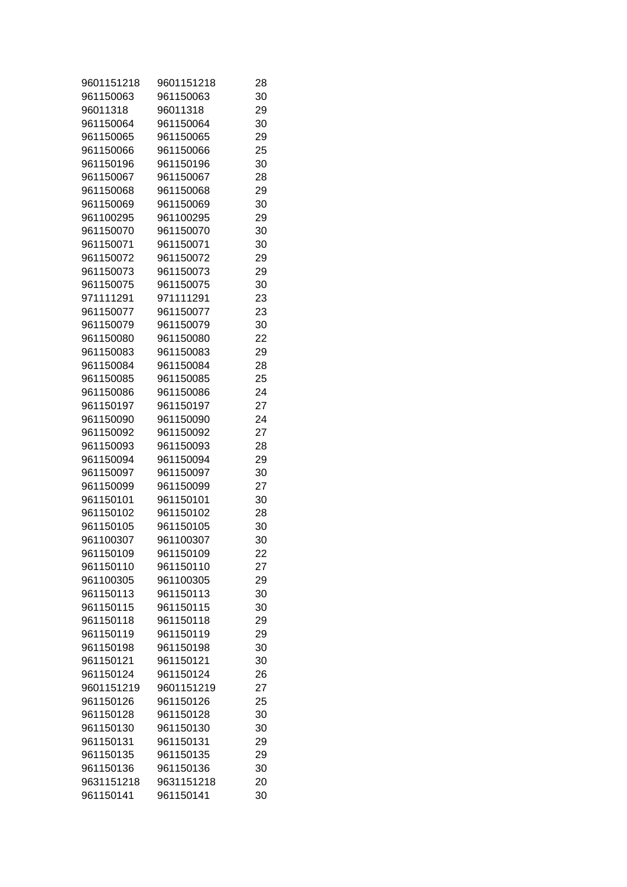| 9601151218 | 9601151218 | 28 |
|------------|------------|----|
| 961150063  | 961150063  | 30 |
| 96011318   | 96011318   | 29 |
| 961150064  | 961150064  | 30 |
| 961150065  | 961150065  | 29 |
| 961150066  | 961150066  | 25 |
| 961150196  | 961150196  | 30 |
| 961150067  | 961150067  | 28 |
| 961150068  | 961150068  | 29 |
| 961150069  | 961150069  | 30 |
| 961100295  | 961100295  | 29 |
| 961150070  | 961150070  | 30 |
| 961150071  | 961150071  | 30 |
| 961150072  | 961150072  | 29 |
| 961150073  | 961150073  | 29 |
| 961150075  | 961150075  | 30 |
| 971111291  | 971111291  | 23 |
| 961150077  | 961150077  | 23 |
| 961150079  | 961150079  | 30 |
| 961150080  | 961150080  | 22 |
| 961150083  | 961150083  | 29 |
| 961150084  | 961150084  | 28 |
| 961150085  | 961150085  | 25 |
| 961150086  | 961150086  | 24 |
| 961150197  | 961150197  | 27 |
| 961150090  | 961150090  | 24 |
| 961150092  | 961150092  | 27 |
| 961150093  | 961150093  | 28 |
| 961150094  | 961150094  | 29 |
| 961150097  | 961150097  | 30 |
| 961150099  | 961150099  | 27 |
| 961150101  | 961150101  | 30 |
| 961150102  | 961150102  | 28 |
| 961150105  | 961150105  | 30 |
| 961100307  | 961100307  | 30 |
| 961150109  | 961150109  | 22 |
| 961150110  | 961150110  | 27 |
| 961100305  | 961100305  | 29 |
| 961150113  | 961150113  | 30 |
| 961150115  | 961150115  | 30 |
| 961150118  | 961150118  | 29 |
| 961150119  | 961150119  | 29 |
| 961150198  | 961150198  | 30 |
| 961150121  | 961150121  | 30 |
| 961150124  | 961150124  | 26 |
| 9601151219 | 9601151219 | 27 |
| 961150126  | 961150126  | 25 |
|            |            |    |
| 961150128  | 961150128  | 30 |
| 961150130  | 961150130  | 30 |
| 961150131  | 961150131  | 29 |
| 961150135  | 961150135  | 29 |
| 961150136  | 961150136  | 30 |
| 9631151218 | 9631151218 | 20 |
| 961150141  | 961150141  | 30 |